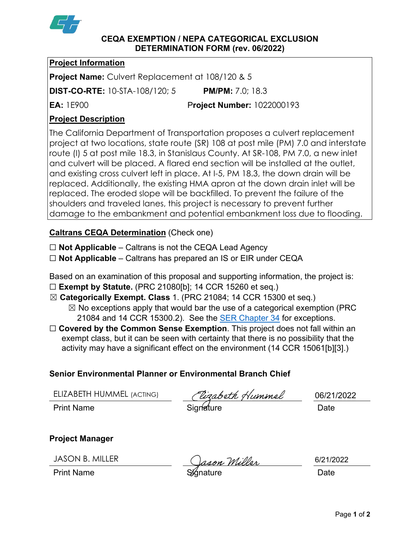

#### **CEQA EXEMPTION / NEPA CATEGORICAL EXCLUSION DETERMINATION FORM (rev. 06/2022)**

### **Project Information**

**Project Name:** Culvert Replacement at 108/120 & 5

**DIST-CO-RTE:** 10-STA-108/120; 5 **PM/PM:** 7.0; 18.3

**EA:** 1E900 P**roject Number:** 1022000193

# **Project Description**

The California Department of Transportation proposes a culvert replacement project at two locations, state route (SR) 108 at post mile (PM) 7.0 and interstate route (I) 5 at post mile 18.3, in Stanislaus County. At SR-108, PM 7.0, a new inlet and culvert will be placed. A flared end section will be installed at the outlet, and existing cross culvert left in place. At I-5, PM 18.3, the down drain will be replaced. Additionally, the existing HMA apron at the down drain inlet will be replaced. The eroded slope will be backfilled. To prevent the failure of the shoulders and traveled lanes, this project is necessary to prevent further damage to the embankment and potential embankment loss due to flooding.

# **Caltrans CEQA Determination** (Check one)

☐ **Not Applicable** – Caltrans is not the CEQA Lead Agency

☐ **Not Applicable** – Caltrans has prepared an IS or EIR under CEQA

Based on an examination of this proposal and supporting information, the project is:

- ☐ **Exempt by Statute.** (PRC 21080[b]; 14 CCR 15260 et seq.)
- ☒ **Categorically Exempt. Class** 1. (PRC 21084; 14 CCR 15300 et seq.)
	- $\boxtimes$  No exceptions apply that would bar the use of a categorical exemption (PRC 21084 and 14 CCR 15300.2). See the [SER Chapter 34](https://dot.ca.gov/programs/environmental-analysis/standard-environmental-reference-ser/volume-1-guidance-for-compliance/ch-34-exemptions-to-ceqa#except) for exceptions.
- □ **Covered by the Common Sense Exemption**. This project does not fall within an exempt class, but it can be seen with certainty that there is no possibility that the activity may have a significant effect on the environment (14 CCR 15061[b][3].)

# **Senior Environmental Planner or Environmental Branch Chief**

| ELIZABETH HUMMEL (ACTING) | (Vizabeth Hummel | 06/21/2022 |
|---------------------------|------------------|------------|
| <b>Print Name</b>         | Signature        | Date       |

# **Project Manager**

JASON B. MILLER

<u>on Willer</u>

6/21/2022

Print Name **Signature** Structure Date